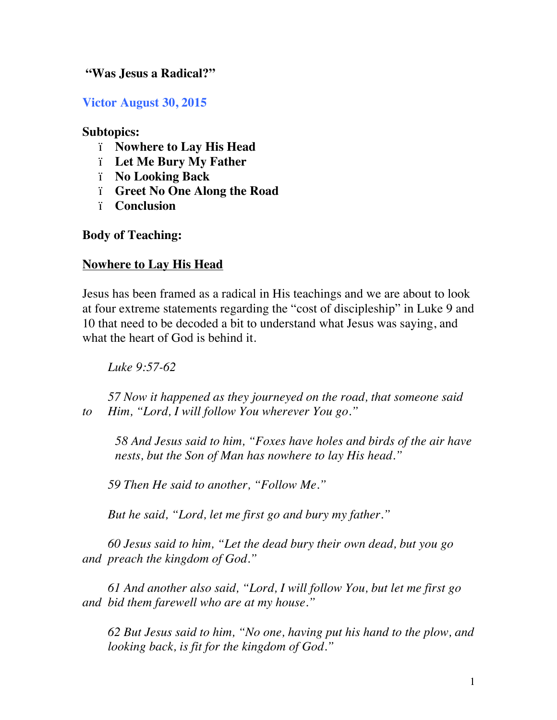#### **"Was Jesus a Radical?"**

**Victor August 30, 2015**

#### **Subtopics:**

- ï **Nowhere to Lay His Head**
- ï **Let Me Bury My Father**
- ï **No Looking Back**
- ï **Greet No One Along the Road**
- ï **Conclusion**

**Body of Teaching:** 

## **Nowhere to Lay His Head**

Jesus has been framed as a radical in His teachings and we are about to look at four extreme statements regarding the "cost of discipleship" in Luke 9 and 10 that need to be decoded a bit to understand what Jesus was saying, and what the heart of God is behind it.

*Luke 9:57-62* 

*57 Now it happened as they journeyed on the road, that someone said to Him, "Lord, I will follow You wherever You go."*

*58 And Jesus said to him, "Foxes have holes and birds of the air have nests, but the Son of Man has nowhere to lay His head."*

*59 Then He said to another, "Follow Me."*

*But he said, "Lord, let me first go and bury my father."*

*60 Jesus said to him, "Let the dead bury their own dead, but you go and preach the kingdom of God."*

*61 And another also said, "Lord, I will follow You, but let me first go and bid them farewell who are at my house."*

*62 But Jesus said to him, "No one, having put his hand to the plow, and looking back, is fit for the kingdom of God."*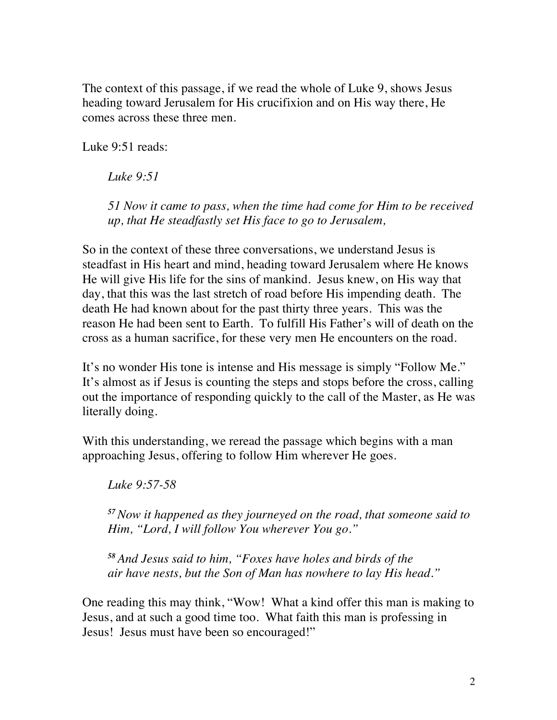The context of this passage, if we read the whole of Luke 9, shows Jesus heading toward Jerusalem for His crucifixion and on His way there, He comes across these three men.

Luke 9:51 reads:

*Luke 9:51* 

*51 Now it came to pass, when the time had come for Him to be received up, that He steadfastly set His face to go to Jerusalem,*

So in the context of these three conversations, we understand Jesus is steadfast in His heart and mind, heading toward Jerusalem where He knows He will give His life for the sins of mankind. Jesus knew, on His way that day, that this was the last stretch of road before His impending death. The death He had known about for the past thirty three years. This was the reason He had been sent to Earth. To fulfill His Father's will of death on the cross as a human sacrifice, for these very men He encounters on the road.

It's no wonder His tone is intense and His message is simply "Follow Me." It's almost as if Jesus is counting the steps and stops before the cross, calling out the importance of responding quickly to the call of the Master, as He was literally doing.

With this understanding, we reread the passage which begins with a man approaching Jesus, offering to follow Him wherever He goes.

*Luke 9:57-58* 

*<sup>57</sup>Now it happened as they journeyed on the road, that someone said to Him, "Lord, I will follow You wherever You go."*

*<sup>58</sup> And Jesus said to him, "Foxes have holes and birds of the air have nests, but the Son of Man has nowhere to lay His head."*

One reading this may think, "Wow! What a kind offer this man is making to Jesus, and at such a good time too. What faith this man is professing in Jesus! Jesus must have been so encouraged!"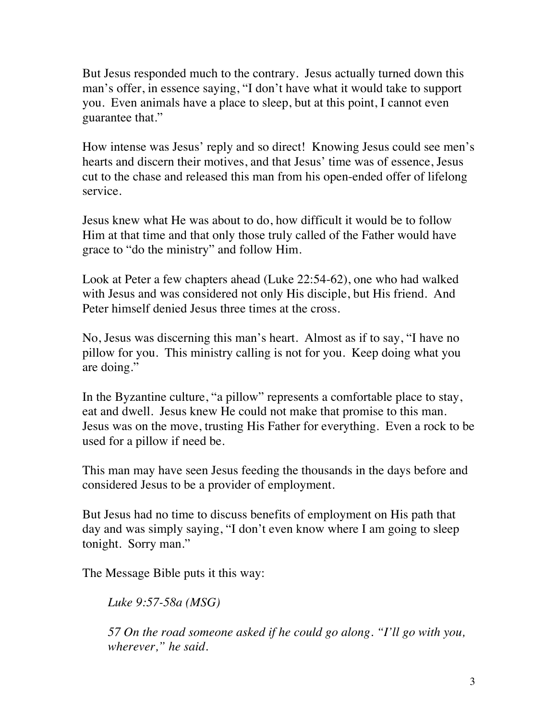But Jesus responded much to the contrary. Jesus actually turned down this man's offer, in essence saying, "I don't have what it would take to support you. Even animals have a place to sleep, but at this point, I cannot even guarantee that."

How intense was Jesus' reply and so direct! Knowing Jesus could see men's hearts and discern their motives, and that Jesus' time was of essence, Jesus cut to the chase and released this man from his open-ended offer of lifelong service.

Jesus knew what He was about to do, how difficult it would be to follow Him at that time and that only those truly called of the Father would have grace to "do the ministry" and follow Him.

Look at Peter a few chapters ahead (Luke 22:54-62), one who had walked with Jesus and was considered not only His disciple, but His friend. And Peter himself denied Jesus three times at the cross.

No, Jesus was discerning this man's heart. Almost as if to say, "I have no pillow for you. This ministry calling is not for you. Keep doing what you are doing."

In the Byzantine culture, "a pillow" represents a comfortable place to stay, eat and dwell. Jesus knew He could not make that promise to this man. Jesus was on the move, trusting His Father for everything. Even a rock to be used for a pillow if need be.

This man may have seen Jesus feeding the thousands in the days before and considered Jesus to be a provider of employment.

But Jesus had no time to discuss benefits of employment on His path that day and was simply saying, "I don't even know where I am going to sleep tonight. Sorry man."

The Message Bible puts it this way:

*Luke 9:57-58a (MSG)*

*57 On the road someone asked if he could go along. "I'll go with you, wherever," he said.*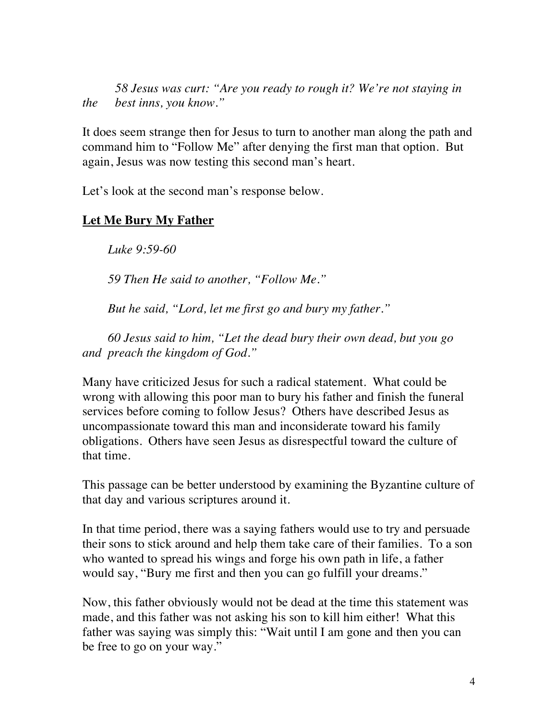*58 Jesus was curt: "Are you ready to rough it? We're not staying in the best inns, you know."*

It does seem strange then for Jesus to turn to another man along the path and command him to "Follow Me" after denying the first man that option. But again, Jesus was now testing this second man's heart.

Let's look at the second man's response below.

## **Let Me Bury My Father**

*Luke 9:59-60* 

*59 Then He said to another, "Follow Me."*

*But he said, "Lord, let me first go and bury my father."*

*60 Jesus said to him, "Let the dead bury their own dead, but you go and preach the kingdom of God."*

Many have criticized Jesus for such a radical statement. What could be wrong with allowing this poor man to bury his father and finish the funeral services before coming to follow Jesus? Others have described Jesus as uncompassionate toward this man and inconsiderate toward his family obligations. Others have seen Jesus as disrespectful toward the culture of that time.

This passage can be better understood by examining the Byzantine culture of that day and various scriptures around it.

In that time period, there was a saying fathers would use to try and persuade their sons to stick around and help them take care of their families. To a son who wanted to spread his wings and forge his own path in life, a father would say, "Bury me first and then you can go fulfill your dreams."

Now, this father obviously would not be dead at the time this statement was made, and this father was not asking his son to kill him either! What this father was saying was simply this: "Wait until I am gone and then you can be free to go on your way."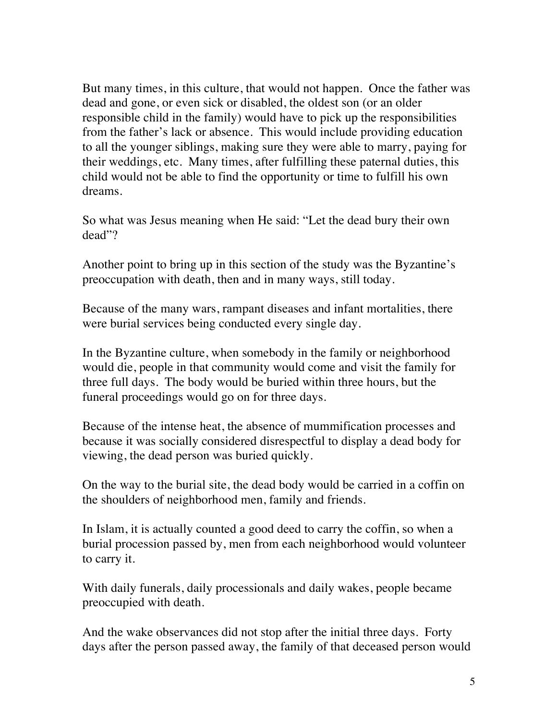But many times, in this culture, that would not happen. Once the father was dead and gone, or even sick or disabled, the oldest son (or an older responsible child in the family) would have to pick up the responsibilities from the father's lack or absence. This would include providing education to all the younger siblings, making sure they were able to marry, paying for their weddings, etc. Many times, after fulfilling these paternal duties, this child would not be able to find the opportunity or time to fulfill his own dreams.

So what was Jesus meaning when He said: "Let the dead bury their own dead"?

Another point to bring up in this section of the study was the Byzantine's preoccupation with death, then and in many ways, still today.

Because of the many wars, rampant diseases and infant mortalities, there were burial services being conducted every single day.

In the Byzantine culture, when somebody in the family or neighborhood would die, people in that community would come and visit the family for three full days. The body would be buried within three hours, but the funeral proceedings would go on for three days.

Because of the intense heat, the absence of mummification processes and because it was socially considered disrespectful to display a dead body for viewing, the dead person was buried quickly.

On the way to the burial site, the dead body would be carried in a coffin on the shoulders of neighborhood men, family and friends.

In Islam, it is actually counted a good deed to carry the coffin, so when a burial procession passed by, men from each neighborhood would volunteer to carry it.

With daily funerals, daily processionals and daily wakes, people became preoccupied with death.

And the wake observances did not stop after the initial three days. Forty days after the person passed away, the family of that deceased person would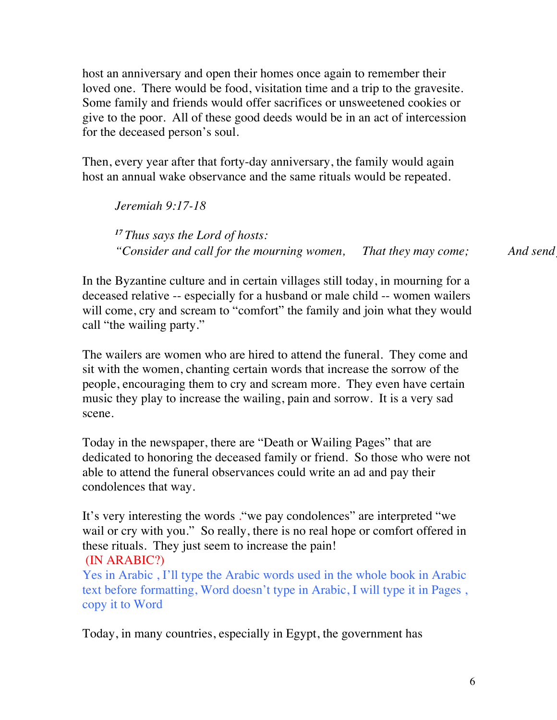host an anniversary and open their homes once again to remember their loved one. There would be food, visitation time and a trip to the gravesite. Some family and friends would offer sacrifices or unsweetened cookies or give to the poor. All of these good deeds would be in an act of intercession for the deceased person's soul.

Then, every year after that forty-day anniversary, the family would again host an annual wake observance and the same rituals would be repeated.

*Jeremiah 9:17-18 <sup>17</sup> Thus says the Lord of hosts:* "Consider and call for the mourning women, That they may come; And send

In the Byzantine culture and in certain villages still today, in mourning for a deceased relative -- especially for a husband or male child -- women wailers will come, cry and scream to "comfort" the family and join what they would call "the wailing party."

The wailers are women who are hired to attend the funeral. They come and sit with the women, chanting certain words that increase the sorrow of the people, encouraging them to cry and scream more. They even have certain music they play to increase the wailing, pain and sorrow. It is a very sad scene.

Today in the newspaper, there are "Death or Wailing Pages" that are dedicated to honoring the deceased family or friend. So those who were not able to attend the funeral observances could write an ad and pay their condolences that way.

It's very interesting the words ."we pay condolences" are interpreted "we wail or cry with you." So really, there is no real hope or comfort offered in these rituals. They just seem to increase the pain! (IN ARABIC?)

Yes in Arabic , I'll type the Arabic words used in the whole book in Arabic text before formatting, Word doesn't type in Arabic, I will type it in Pages , copy it to Word

Today, in many countries, especially in Egypt, the government has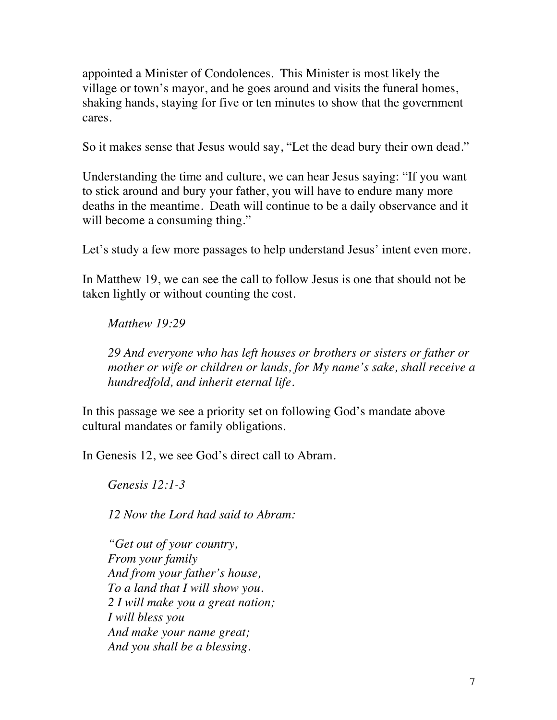appointed a Minister of Condolences. This Minister is most likely the village or town's mayor, and he goes around and visits the funeral homes, shaking hands, staying for five or ten minutes to show that the government cares.

So it makes sense that Jesus would say, "Let the dead bury their own dead."

Understanding the time and culture, we can hear Jesus saying: "If you want to stick around and bury your father, you will have to endure many more deaths in the meantime. Death will continue to be a daily observance and it will become a consuming thing."

Let's study a few more passages to help understand Jesus' intent even more.

In Matthew 19, we can see the call to follow Jesus is one that should not be taken lightly or without counting the cost.

#### *Matthew 19:29*

*29 And everyone who has left houses or brothers or sisters or father or mother or wife or children or lands, for My name's sake, shall receive a hundredfold, and inherit eternal life.*

In this passage we see a priority set on following God's mandate above cultural mandates or family obligations.

In Genesis 12, we see God's direct call to Abram.

*Genesis 12:1-3* 

*12 Now the Lord had said to Abram:*

*"Get out of your country, From your family And from your father's house, To a land that I will show you. 2 I will make you a great nation; I will bless you And make your name great; And you shall be a blessing.*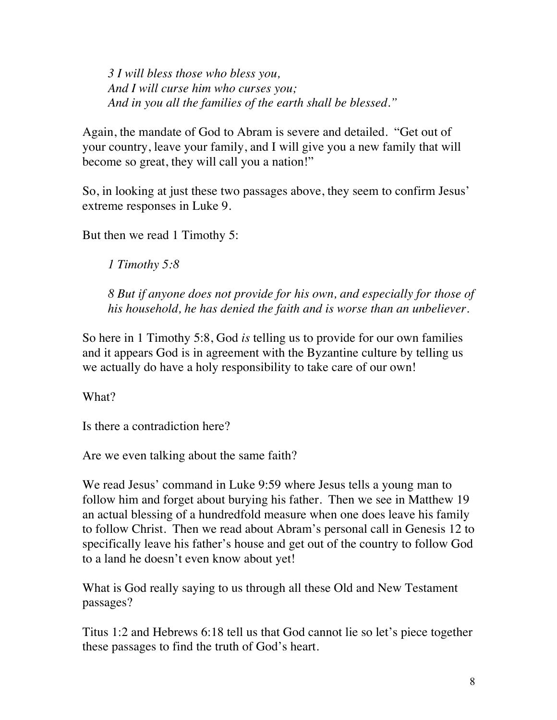*3 I will bless those who bless you, And I will curse him who curses you; And in you all the families of the earth shall be blessed."*

Again, the mandate of God to Abram is severe and detailed. "Get out of your country, leave your family, and I will give you a new family that will become so great, they will call you a nation!"

So, in looking at just these two passages above, they seem to confirm Jesus' extreme responses in Luke 9.

But then we read 1 Timothy 5:

*1 Timothy 5:8* 

*8 But if anyone does not provide for his own, and especially for those of his household, he has denied the faith and is worse than an unbeliever.*

So here in 1 Timothy 5:8, God *is* telling us to provide for our own families and it appears God is in agreement with the Byzantine culture by telling us we actually do have a holy responsibility to take care of our own!

What?

Is there a contradiction here?

Are we even talking about the same faith?

We read Jesus' command in Luke 9:59 where Jesus tells a young man to follow him and forget about burying his father. Then we see in Matthew 19 an actual blessing of a hundredfold measure when one does leave his family to follow Christ. Then we read about Abram's personal call in Genesis 12 to specifically leave his father's house and get out of the country to follow God to a land he doesn't even know about yet!

What is God really saying to us through all these Old and New Testament passages?

Titus 1:2 and Hebrews 6:18 tell us that God cannot lie so let's piece together these passages to find the truth of God's heart.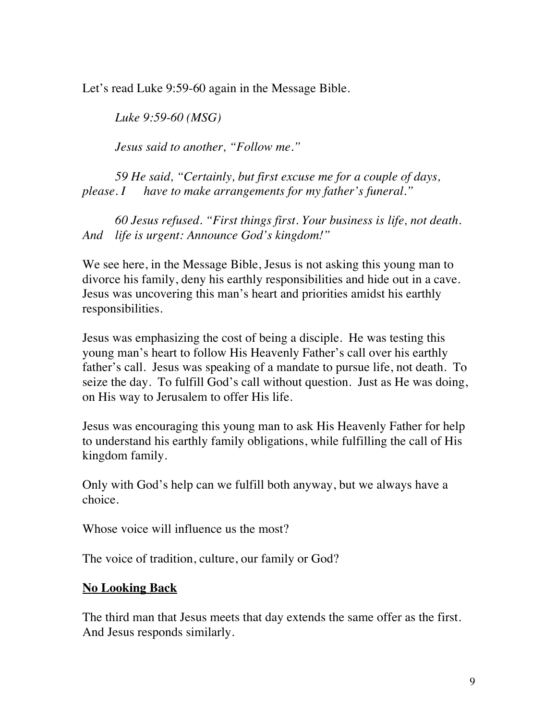Let's read Luke 9:59-60 again in the Message Bible.

*Luke 9:59-60 (MSG)*

*Jesus said to another, "Follow me."*

*59 He said, "Certainly, but first excuse me for a couple of days, please. I have to make arrangements for my father's funeral."*

*60 Jesus refused. "First things first. Your business is life, not death. And life is urgent: Announce God's kingdom!"*

We see here, in the Message Bible, Jesus is not asking this young man to divorce his family, deny his earthly responsibilities and hide out in a cave. Jesus was uncovering this man's heart and priorities amidst his earthly responsibilities.

Jesus was emphasizing the cost of being a disciple. He was testing this young man's heart to follow His Heavenly Father's call over his earthly father's call. Jesus was speaking of a mandate to pursue life, not death. To seize the day. To fulfill God's call without question. Just as He was doing, on His way to Jerusalem to offer His life.

Jesus was encouraging this young man to ask His Heavenly Father for help to understand his earthly family obligations, while fulfilling the call of His kingdom family.

Only with God's help can we fulfill both anyway, but we always have a choice.

Whose voice will influence us the most?

The voice of tradition, culture, our family or God?

## **No Looking Back**

The third man that Jesus meets that day extends the same offer as the first. And Jesus responds similarly.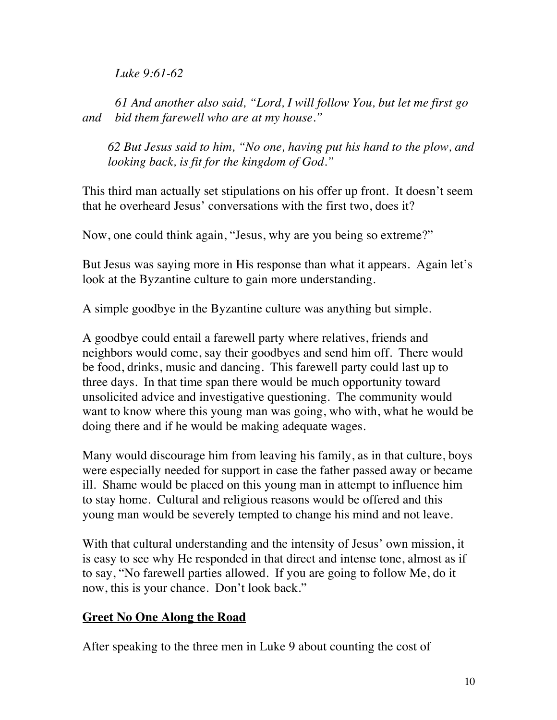*Luke 9:61-62* 

*61 And another also said, "Lord, I will follow You, but let me first go and bid them farewell who are at my house."*

*62 But Jesus said to him, "No one, having put his hand to the plow, and looking back, is fit for the kingdom of God."*

This third man actually set stipulations on his offer up front. It doesn't seem that he overheard Jesus' conversations with the first two, does it?

Now, one could think again, "Jesus, why are you being so extreme?"

But Jesus was saying more in His response than what it appears. Again let's look at the Byzantine culture to gain more understanding.

A simple goodbye in the Byzantine culture was anything but simple.

A goodbye could entail a farewell party where relatives, friends and neighbors would come, say their goodbyes and send him off. There would be food, drinks, music and dancing. This farewell party could last up to three days. In that time span there would be much opportunity toward unsolicited advice and investigative questioning. The community would want to know where this young man was going, who with, what he would be doing there and if he would be making adequate wages.

Many would discourage him from leaving his family, as in that culture, boys were especially needed for support in case the father passed away or became ill. Shame would be placed on this young man in attempt to influence him to stay home. Cultural and religious reasons would be offered and this young man would be severely tempted to change his mind and not leave.

With that cultural understanding and the intensity of Jesus' own mission, it is easy to see why He responded in that direct and intense tone, almost as if to say, "No farewell parties allowed. If you are going to follow Me, do it now, this is your chance. Don't look back."

# **Greet No One Along the Road**

After speaking to the three men in Luke 9 about counting the cost of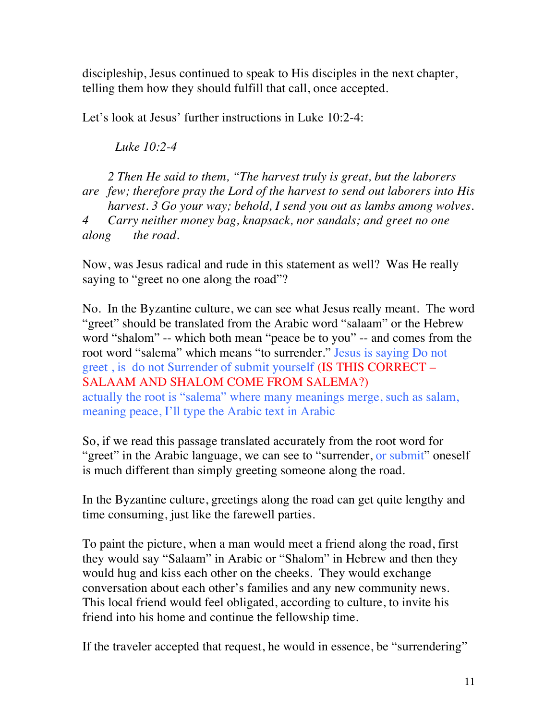discipleship, Jesus continued to speak to His disciples in the next chapter, telling them how they should fulfill that call, once accepted.

Let's look at Jesus' further instructions in Luke 10:2-4:

*Luke 10:2-4* 

*2 Then He said to them, "The harvest truly is great, but the laborers are few; therefore pray the Lord of the harvest to send out laborers into His harvest. 3 Go your way; behold, I send you out as lambs among wolves. 4 Carry neither money bag, knapsack, nor sandals; and greet no one along the road.*

Now, was Jesus radical and rude in this statement as well? Was He really saying to "greet no one along the road"?

No. In the Byzantine culture, we can see what Jesus really meant. The word "greet" should be translated from the Arabic word "salaam" or the Hebrew word "shalom" -- which both mean "peace be to you" -- and comes from the root word "salema" which means "to surrender." Jesus is saying Do not greet , is do not Surrender of submit yourself (IS THIS CORRECT – SALAAM AND SHALOM COME FROM SALEMA?) actually the root is "salema" where many meanings merge, such as salam, meaning peace, I'll type the Arabic text in Arabic

So, if we read this passage translated accurately from the root word for "greet" in the Arabic language, we can see to "surrender, or submit" oneself is much different than simply greeting someone along the road.

In the Byzantine culture, greetings along the road can get quite lengthy and time consuming, just like the farewell parties.

To paint the picture, when a man would meet a friend along the road, first they would say "Salaam" in Arabic or "Shalom" in Hebrew and then they would hug and kiss each other on the cheeks. They would exchange conversation about each other's families and any new community news. This local friend would feel obligated, according to culture, to invite his friend into his home and continue the fellowship time.

If the traveler accepted that request, he would in essence, be "surrendering"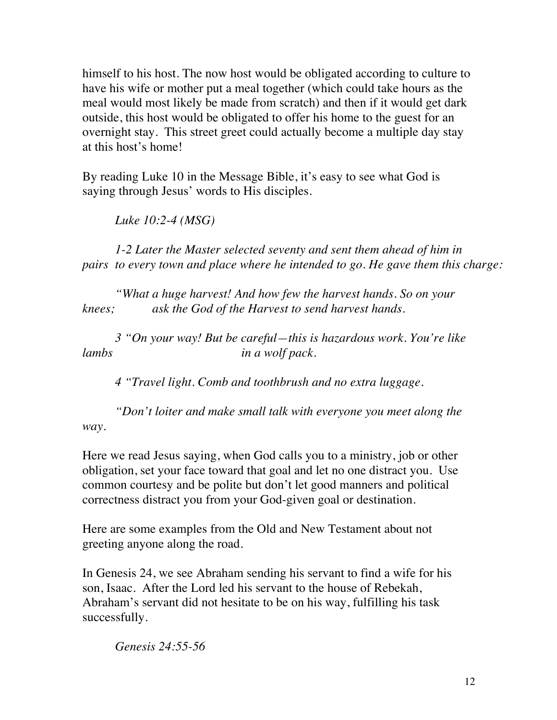himself to his host. The now host would be obligated according to culture to have his wife or mother put a meal together (which could take hours as the meal would most likely be made from scratch) and then if it would get dark outside, this host would be obligated to offer his home to the guest for an overnight stay. This street greet could actually become a multiple day stay at this host's home!

By reading Luke 10 in the Message Bible, it's easy to see what God is saying through Jesus' words to His disciples.

*Luke 10:2-4 (MSG)*

*1-2 Later the Master selected seventy and sent them ahead of him in pairs to every town and place where he intended to go. He gave them this charge:*

*"What a huge harvest! And how few the harvest hands. So on your knees; ask the God of the Harvest to send harvest hands.*

*3 "On your way! But be careful—this is hazardous work. You're like lambs in a wolf pack.*

*4 "Travel light. Comb and toothbrush and no extra luggage.*

*"Don't loiter and make small talk with everyone you meet along the way.*

Here we read Jesus saying, when God calls you to a ministry, job or other obligation, set your face toward that goal and let no one distract you. Use common courtesy and be polite but don't let good manners and political correctness distract you from your God-given goal or destination.

Here are some examples from the Old and New Testament about not greeting anyone along the road.

In Genesis 24, we see Abraham sending his servant to find a wife for his son, Isaac. After the Lord led his servant to the house of Rebekah, Abraham's servant did not hesitate to be on his way, fulfilling his task successfully.

*Genesis 24:55-56*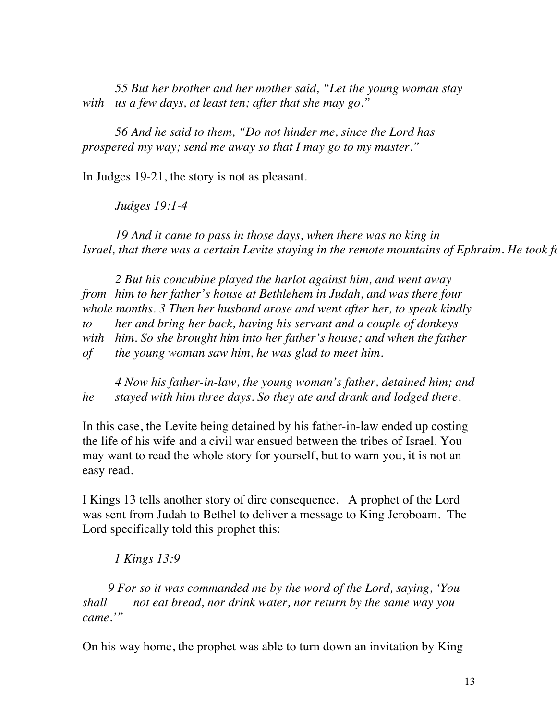*55 But her brother and her mother said, "Let the young woman stay with us a few days, at least ten; after that she may go."*

*56 And he said to them, "Do not hinder me, since the Lord has prospered my way; send me away so that I may go to my master."*

In Judges 19-21, the story is not as pleasant.

*Judges 19:1-4* 

*19 And it came to pass in those days, when there was no king in Israel, that there was a certain Levite staying in the remote mountains of Ephraim. He took for himself a concursion in Judah. Bethem in Aetook for himself and Bethlehem in Judah. Bethem in Judah. Bethem in Judah. He took* 

*2 But his concubine played the harlot against him, and went away from him to her father's house at Bethlehem in Judah, and was there four whole months. 3 Then her husband arose and went after her, to speak kindly to her and bring her back, having his servant and a couple of donkeys with him. So she brought him into her father's house; and when the father of the young woman saw him, he was glad to meet him.* 

*4 Now his father-in-law, the young woman's father, detained him; and he stayed with him three days. So they ate and drank and lodged there.*

In this case, the Levite being detained by his father-in-law ended up costing the life of his wife and a civil war ensued between the tribes of Israel. You may want to read the whole story for yourself, but to warn you, it is not an easy read.

I Kings 13 tells another story of dire consequence. A prophet of the Lord was sent from Judah to Bethel to deliver a message to King Jeroboam. The Lord specifically told this prophet this:

### *1 Kings 13:9*

*9 For so it was commanded me by the word of the Lord, saying, 'You shall not eat bread, nor drink water, nor return by the same way you came.'"*

On his way home, the prophet was able to turn down an invitation by King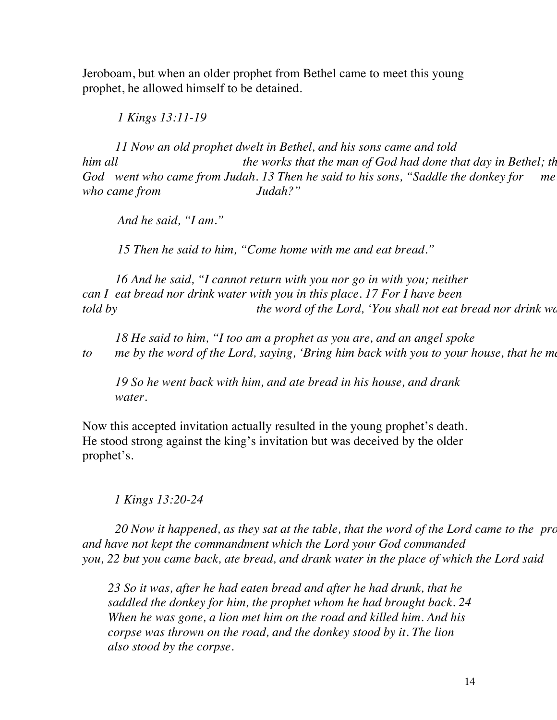Jeroboam, but when an older prophet from Bethel came to meet this young prophet, he allowed himself to be detained.

 *1 Kings 13:11-19* 

*11 Now an old prophet dwelt in Bethel, and his sons came and told*  him all him all the works that the man of God had done that day in Bethel; the God went who came from Judah. 13 Then he said to his sons, "Saddle the donkey for me *who came from Judah?"*

 *And he said, "I am."*

 *15 Then he said to him, "Come home with me and eat bread."*

*16 And he said, "I cannot return with you nor go in with you; neither can I eat bread nor drink water with you in this place. 17 For I have been told by* the word of the Lord, 'You shall not eat bread nor drink water the word of the Lord, 'You shall not eat bread nor drink water-

*18 He said to him, "I too am a prophet as you are, and an angel spoke to* me by the word of the Lord, saying, *'Bring him back with you to your house, that he mater.'* 

*19 So he went back with him, and ate bread in his house, and drank water.*

Now this accepted invitation actually resulted in the young prophet's death. He stood strong against the king's invitation but was deceived by the older prophet's.

 *1 Kings 13:20-24* 

20 Now it happened, as they sat at the table, that the word of the Lord came to the pro *and have not kept the commandment which the Lord your God commanded you, 22 but you came back, ate bread, and drank water in the place of which the Lord said* 

*23 So it was, after he had eaten bread and after he had drunk, that he saddled the donkey for him, the prophet whom he had brought back. 24 When he was gone, a lion met him on the road and killed him. And his corpse was thrown on the road, and the donkey stood by it. The lion also stood by the corpse.*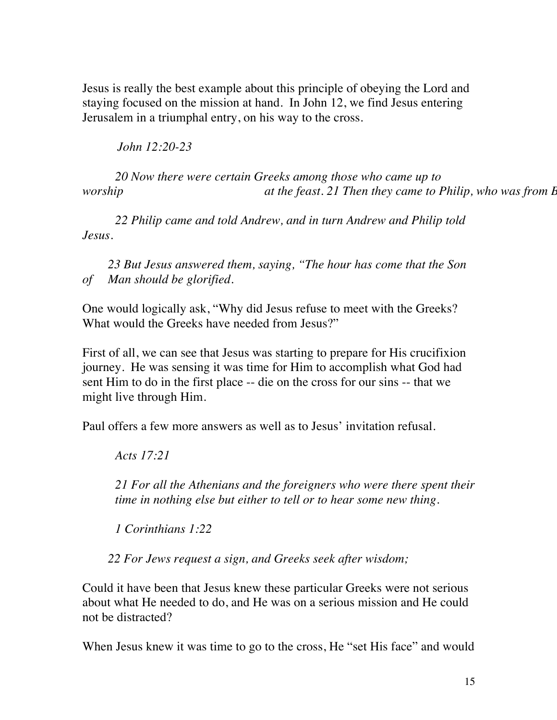Jesus is really the best example about this principle of obeying the Lord and staying focused on the mission at hand. In John 12, we find Jesus entering Jerusalem in a triumphal entry, on his way to the cross.

 *John 12:20-23* 

*20 Now there were certain Greeks among those who came up to at the feast. 21 Then they came to Philip, who was from E at the feast. 21 Then they came to Philip, who was from E* 

*22 Philip came and told Andrew, and in turn Andrew and Philip told Jesus.*

*23 But Jesus answered them, saying, "The hour has come that the Son of Man should be glorified.*

One would logically ask, "Why did Jesus refuse to meet with the Greeks? What would the Greeks have needed from Jesus?"

First of all, we can see that Jesus was starting to prepare for His crucifixion journey. He was sensing it was time for Him to accomplish what God had sent Him to do in the first place -- die on the cross for our sins -- that we might live through Him.

Paul offers a few more answers as well as to Jesus' invitation refusal.

*Acts 17:21* 

*21 For all the Athenians and the foreigners who were there spent their time in nothing else but either to tell or to hear some new thing.*

*1 Corinthians 1:22* 

*22 For Jews request a sign, and Greeks seek after wisdom;*

Could it have been that Jesus knew these particular Greeks were not serious about what He needed to do, and He was on a serious mission and He could not be distracted?

When Jesus knew it was time to go to the cross, He "set His face" and would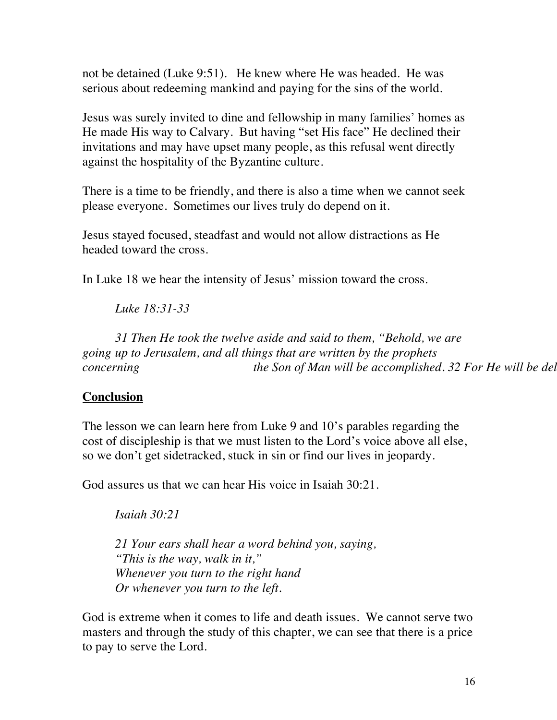not be detained (Luke 9:51). He knew where He was headed. He was serious about redeeming mankind and paying for the sins of the world.

Jesus was surely invited to dine and fellowship in many families' homes as He made His way to Calvary. But having "set His face" He declined their invitations and may have upset many people, as this refusal went directly against the hospitality of the Byzantine culture.

There is a time to be friendly, and there is also a time when we cannot seek please everyone. Sometimes our lives truly do depend on it.

Jesus stayed focused, steadfast and would not allow distractions as He headed toward the cross.

In Luke 18 we hear the intensity of Jesus' mission toward the cross.

*Luke 18:31-33*

*31 Then He took the twelve aside and said to them, "Behold, we are going up to Jerusalem, and all things that are written by the prophets concerning* the Son of Man will be accomplished. 32 For He will be delined and spit upon.  $\epsilon$  and the spit upon.  $\epsilon$  and the third day He will be third day He will be delined as a gain scourge He will be delined as a ga

## **Conclusion**

The lesson we can learn here from Luke 9 and 10's parables regarding the cost of discipleship is that we must listen to the Lord's voice above all else, so we don't get sidetracked, stuck in sin or find our lives in jeopardy.

God assures us that we can hear His voice in Isaiah 30:21.

*Isaiah 30:21* 

*21 Your ears shall hear a word behind you, saying, "This is the way, walk in it," Whenever you turn to the right hand Or whenever you turn to the left.*

God is extreme when it comes to life and death issues. We cannot serve two masters and through the study of this chapter, we can see that there is a price to pay to serve the Lord.